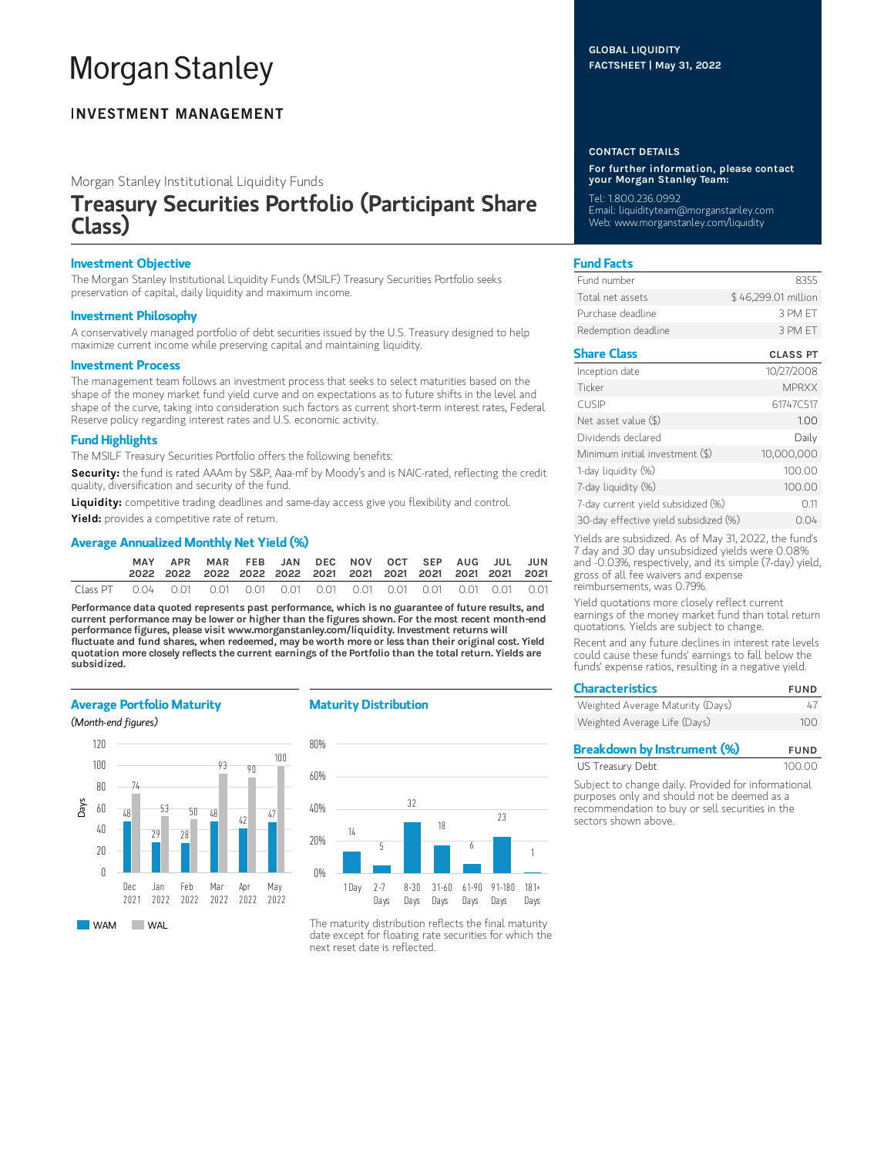# **Morgan Stanley**

# **INVESTMENT MANAGEMENT**

Morgan Stanley Institutional Liquidity Funds

# Treasury Securities Portfolio (Participant Share Class)

# Investment Objective

The Morgan Stanley Institutional Liquidity Funds (MSILF) Treasury Securities Portfolio seeks preservation of capital, daily liquidity and maximum income.

## Investment Philosophy

A conservatively managed portfolio of debt securities issued by the U.S. Treasury designed to help maximize current income while preserving capital and maintaining liquidity.

#### Investment Process

The management team follows an investment process that seeks to select maturities based on the shape of the money market fund yield curve and on expectations as to future shifts in the level and shape of the curve, taking into consideration such factors as current short-term interest rates, Federal Reserve policy regarding interest rates and U.S. economic activity.

## Fund Highlights

The MSILF Treasury Securities Portfolio offers the following benefits:

Security: the fund is rated AAAm by S&P, Aaa-mf by Moody's and is NAIC-rated, reflecting the credit quality, diversification and security of the fund.

Liquidity: competitive trading deadlines and same-day access give you flexibility and control.

Yield: provides a competitive rate of return.

## Average Annualized Monthly Net Yield (%)

| MAY | APR | MAR FEB JAN DEC NOV OCT SEP AUG JUL JUN |  |  |  |  |  |
|-----|-----|-----------------------------------------|--|--|--|--|--|
|     |     |                                         |  |  |  |  |  |

Performance data quoted represents past performance, which is no guarantee of future results, and current performance may be lower or higher than the figures shown. For the most recent month-end performance figures, please visit www.morganstanley.com/liquidity. Investment returns will fluctuate and fund shares, when redeemed, may be worth more or less than their original cost. Yield quotation more closely reflects the current earnings of the Portfolio than the total return. Yields are subsidized.

## Average Portfolio Maturity

#### (Month-end figures)



# Maturity Distribution



The maturity distribution reflects the final maturity date except for floating rate securities for which the next reset date is reflected.

## GLOBAL LIQUIDITY FACTSHEET | May 31, 2022

#### CONTACT DETAILS

For further information, please contact your Morgan Stanley Team:

Tel: 1.800.236.0992

Email: liquidityteam@morganstanley.com Web: www.morganstanley.com/liquidity

# Fund Facts

| Fund number         | 8355                |
|---------------------|---------------------|
| Total net assets    | \$46,299.01 million |
| Purchase deadline.  | 3 PM FT             |
| Redemption deadline | 3 PM FT             |

## Share Class CLASS PT

| Inception date                        | 10/27/2008   |
|---------------------------------------|--------------|
| Ticker                                | <b>MPRXX</b> |
| <b>CUSIP</b>                          | 61747C517    |
| Net asset value (\$)                  | 1.00         |
| Dividends declared                    | Daily        |
| Minimum initial investment (\$)       | 10,000,000   |
| 1-day liquidity (%)                   | 100.00       |
| 7-day liquidity (%)                   | 100.00       |
| 7-day current yield subsidized (%)    | 011          |
| 30-day effective yield subsidized (%) | 0.04         |

Yields are subsidized. As of May 31, 2022, the fund's 7 day and 30 day unsubsidized yields were 0.08% and -0.03%, respectively, and its simple (7-day) yield, gross of all fee waivers and expense reimbursements, was 0.79%.

Yield quotations more closely reflect current earnings of the money market fund than total return quotations. Yields are subject to change.

Recent and any future declines in interest rate levels could cause these funds' earnings to fall below the funds' expense ratios, resulting in a negative yield.

| <b>Characteristics</b>           | <b>FUND</b> |  |  |
|----------------------------------|-------------|--|--|
| Weighted Average Maturity (Days) | 47          |  |  |
| Weighted Average Life (Days)     | 100         |  |  |

| <b>Breakdown by Instrument (%)</b> | <b>FUND</b> |
|------------------------------------|-------------|
| US Treasury Debt                   | 100.00      |

Subject to change daily. Provided for informational purposes only and should not be deemed as a recommendation to buy or sell securities in the sectors shown above.